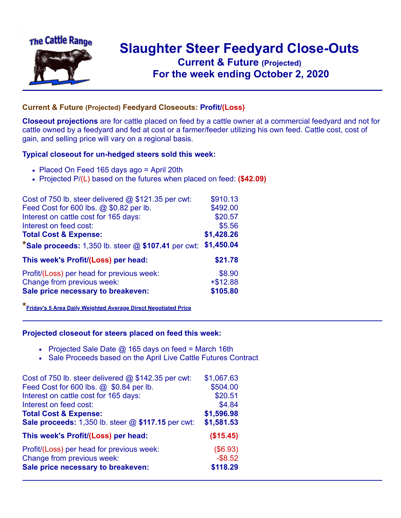

## **Slaughter Steer Feedyard Close-Outs Current & Future (Projected)** .**For the week ending October 2, 2020**

## **Current & Future (Projected) Feedyard Closeouts: Profit/(Loss)**

**Closeout projections** are for cattle placed on feed by a cattle owner at a commercial feedyard and not for cattle owned by a feedyard and fed at cost or a farmer/feeder utilizing his own feed. Cattle cost, cost of gain, and selling price will vary on a regional basis.

## **Typical closeout for un-hedged steers sold this week:**

- Placed On Feed 165 days ago = April 20th
- Projected P/(L) based on the futures when placed on feed: **(\$42.09)**

| Cost of 750 lb. steer delivered @ \$121.35 per cwt:     | \$910.13   |
|---------------------------------------------------------|------------|
| Feed Cost for 600 lbs. @ \$0.82 per lb.                 | \$492.00   |
| Interest on cattle cost for 165 days:                   | \$20.57    |
| Interest on feed cost:                                  | \$5.56     |
| <b>Total Cost &amp; Expense:</b>                        | \$1,428.26 |
| *Sale proceeds: $1,350$ lb. steer $@$ \$107.41 per cwt: | \$1,450.04 |
| This week's Profit/(Loss) per head:                     | \$21.78    |
| Profit/(Loss) per head for previous week:               | \$8.90     |
| Change from previous week:                              | $+ $12.88$ |
| Sale price necessary to breakeven:                      | \$105.80   |

**\*[Friday's 5 Area Daily Weighted Average Direct Negotiated Price](https://www.ams.usda.gov/mnreports/ams_2466.pdf)**

## **Projected closeout for steers placed on feed this week:**

- Projected Sale Date  $@$  165 days on feed = March 16th
- Sale Proceeds based on the April Live Cattle Futures Contract

| Cost of 750 lb. steer delivered @ \$142.35 per cwt: | \$1,067.63 |
|-----------------------------------------------------|------------|
| Feed Cost for 600 lbs. @ \$0.84 per lb.             | \$504.00   |
| Interest on cattle cost for 165 days:               | \$20.51    |
| Interest on feed cost:                              | \$4.84     |
| <b>Total Cost &amp; Expense:</b>                    | \$1,596.98 |
| Sale proceeds: 1,350 lb. steer @ \$117.15 per cwt:  | \$1,581.53 |
| This week's Profit/(Loss) per head:                 | (\$15.45)  |
| Profit/(Loss) per head for previous week:           | (\$6.93)   |
| Change from previous week:                          | $-$ \$8.52 |
| Sale price necessary to breakeven:                  | \$118.29   |
|                                                     |            |